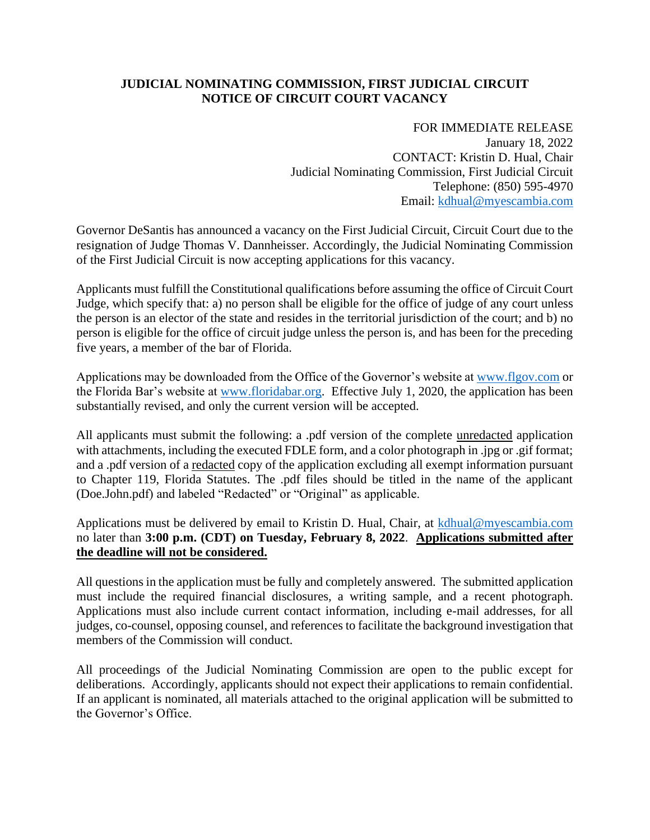## **JUDICIAL NOMINATING COMMISSION, FIRST JUDICIAL CIRCUIT NOTICE OF CIRCUIT COURT VACANCY**

FOR IMMEDIATE RELEASE January 18, 2022 CONTACT: Kristin D. Hual, Chair Judicial Nominating Commission, First Judicial Circuit Telephone: (850) 595-4970 Email: [kdhual@myescambia.com](mailto:kdhual@myescambia.com)

Governor DeSantis has announced a vacancy on the First Judicial Circuit, Circuit Court due to the resignation of Judge Thomas V. Dannheisser. Accordingly, the Judicial Nominating Commission of the First Judicial Circuit is now accepting applications for this vacancy.

Applicants must fulfill the Constitutional qualifications before assuming the office of Circuit Court Judge, which specify that: a) no person shall be eligible for the office of judge of any court unless the person is an elector of the state and resides in the territorial jurisdiction of the court; and b) no person is eligible for the office of circuit judge unless the person is, and has been for the preceding five years, a member of the bar of Florida.

Applications may be downloaded from the Office of the Governor's website at [www.flgov.com](http://www.flgov.com/) or the Florida Bar's website at [www.floridabar.org.](http://www.floridabar.org/) Effective July 1, 2020, the application has been substantially revised, and only the current version will be accepted.

All applicants must submit the following: a .pdf version of the complete unredacted application with attachments, including the executed FDLE form, and a color photograph in .jpg or .gif format; and a .pdf version of a redacted copy of the application excluding all exempt information pursuant to Chapter 119, Florida Statutes. The .pdf files should be titled in the name of the applicant (Doe.John.pdf) and labeled "Redacted" or "Original" as applicable.

Applications must be delivered by email to Kristin D. Hual, Chair, at [kdhual@myescambia.com](mailto:kdhual@myescambia.com/) no later than **3:00 p.m. (CDT) on Tuesday, February 8, 2022**. **Applications submitted after the deadline will not be considered.**

All questions in the application must be fully and completely answered. The submitted application must include the required financial disclosures, a writing sample, and a recent photograph. Applications must also include current contact information, including e-mail addresses, for all judges, co-counsel, opposing counsel, and references to facilitate the background investigation that members of the Commission will conduct.

All proceedings of the Judicial Nominating Commission are open to the public except for deliberations. Accordingly, applicants should not expect their applications to remain confidential. If an applicant is nominated, all materials attached to the original application will be submitted to the Governor's Office.